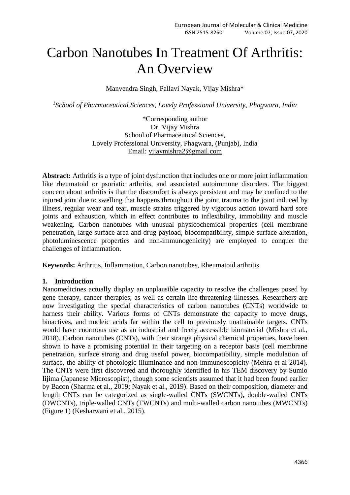# Carbon Nanotubes In Treatment Of Arthritis: An Overview

Manvendra Singh, Pallavi Nayak, Vijay Mishra\*

*1 School of Pharmaceutical Sciences, Lovely Professional University, Phagwara, India*

\*Corresponding author Dr. Vijay Mishra School of Pharmaceutical Sciences, Lovely Professional University, Phagwara, (Punjab), India Email: [vijaymishra2@gmail.com](mailto:vijaymishra2@gmail.com)

**Abstract:** Arthritis is a type of joint dysfunction that includes one or more joint inflammation like rheumatoid or psoriatic arthritis, and associated autoimmune disorders. The biggest concern about arthritis is that the discomfort is always persistent and may be confined to the injured joint due to swelling that happens throughout the joint, trauma to the joint induced by illness, regular wear and tear, muscle strains triggered by vigorous action toward hard sore joints and exhaustion, which in effect contributes to inflexibility, immobility and muscle weakening. Carbon nanotubes with unusual physicochemical properties (cell membrane penetration, large surface area and drug payload, biocompatibility, simple surface alteration, photoluminescence properties and non-immunogenicity) are employed to conquer the challenges of inflammation.

**Keywords:** Arthritis, Inflammation, Carbon nanotubes, Rheumatoid arthritis

## **1. Introduction**

Nanomedicines actually display an unplausible capacity to resolve the challenges posed by gene therapy, cancer therapies, as well as certain life-threatening illnesses. Researchers are now investigating the special characteristics of carbon nanotubes (CNTs) worldwide to harness their ability. Various forms of CNTs demonstrate the capacity to move drugs, bioactives, and nucleic acids far within the cell to previously unattainable targets. CNTs would have enormous use as an industrial and freely accessible biomaterial (Mishra et al., 2018). Carbon nanotubes (CNTs), with their strange physical chemical properties, have been shown to have a promising potential in their targeting on a receptor basis (cell membrane penetration, surface strong and drug useful power, biocompatibility, simple modulation of surface, the ability of photologic illuminance and non-immunoscopicity (Mehra et al 2014). The CNTs were first discovered and thoroughly identified in his TEM discovery by Sumio Iijima (Japanese Microscopist), though some scientists assumed that it had been found earlier by Bacon (Sharma et al., 2019; Nayak et al., 2019). Based on their composition, diameter and length CNTs can be categorized as single-walled CNTs (SWCNTs), double-walled CNTs (DWCNTs), triple-walled CNTs (TWCNTs) and multi-walled carbon nanotubes (MWCNTs) (Figure 1) (Kesharwani et al., 2015).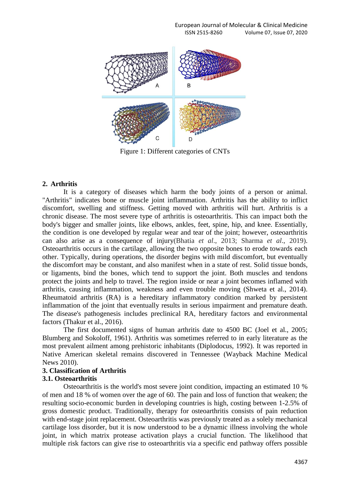

Figure 1: Different categories of CNTs

#### **2. Arthritis**

It is a category of diseases which harm the body joints of a person or animal. "Arthritis" indicates bone or muscle joint inflammation. Arthritis has the ability to inflict discomfort, swelling and stiffness. Getting moved with arthritis will hurt. Arthritis is a chronic disease. The most severe type of arthritis is osteoarthritis. This can impact both the body's bigger and smaller joints, like elbows, ankles, feet, spine, hip, and knee. Essentially, the condition is one developed by regular wear and tear of the joint; however, osteoarthritis can also arise as a consequence of injury(Bhatia *et al*., 2013; Sharma *et al*., 2019). Osteoarthritis occurs in the cartilage, allowing the two opposite bones to erode towards each other. Typically, during operations, the disorder begins with mild discomfort, but eventually the discomfort may be constant, and also manifest when in a state of rest. Solid tissue bonds, or ligaments, bind the bones, which tend to support the joint. Both muscles and tendons protect the joints and help to travel. The region inside or near a joint becomes inflamed with arthritis, causing inflammation, weakness and even trouble moving (Shweta et al., 2014). Rheumatoid arthritis (RA) is a hereditary inflammatory condition marked by persistent inflammation of the joint that eventually results in serious impairment and premature death. The disease's pathogenesis includes preclinical RA, hereditary factors and environmental factors (Thakur et al., 2016).

The first documented signs of human arthritis date to 4500 BC (Joel et al., 2005; Blumberg and Sokoloff, 1961). Arthritis was sometimes referred to in early literature as the most prevalent ailment among prehistoric inhabitants (Diplodocus, 1992). It was reported in Native American skeletal remains discovered in Tennessee (Wayback Machine Medical News 2010).

## **3. Classification of Arthritis**

#### **3.1. Osteoarthritis**

Osteoarthritis is the world's most severe joint condition, impacting an estimated 10 % of men and 18 % of women over the age of 60. The pain and loss of function that weaken; the resulting socio-economic burden in developing countries is high, costing between 1-2.5% of gross domestic product. Traditionally, therapy for osteoarthritis consists of pain reduction with end-stage joint replacement. Osteoarthritis was previously treated as a solely mechanical cartilage loss disorder, but it is now understood to be a dynamic illness involving the whole joint, in which matrix protease activation plays a crucial function. The likelihood that multiple risk factors can give rise to osteoarthritis via a specific end pathway offers possible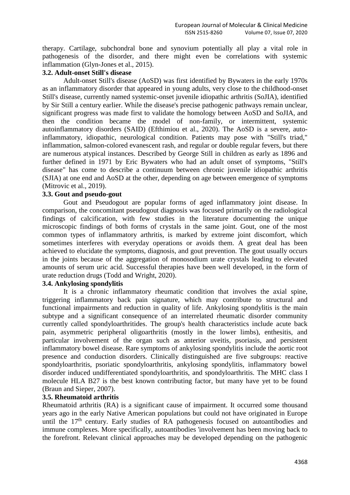therapy. Cartilage, subchondral bone and synovium potentially all play a vital role in pathogenesis of the disorder, and there might even be correlations with systemic inflammation (Glyn-Jones et al., 2015).

## **3.2. Adult-onset Still's disease**

Adult-onset Still's disease (AoSD) was first identified by Bywaters in the early 1970s as an inflammatory disorder that appeared in young adults, very close to the childhood-onset Still's disease, currently named systemic-onset juvenile idiopathic arthritis (SoJIA), identified by Sir Still a century earlier. While the disease's precise pathogenic pathways remain unclear, significant progress was made first to validate the homology between AoSD and SoJIA, and then the condition became the model of non-family, or intermittent, systemic autoinflammatory disorders (SAID) (Efthimiou et al., 2020). The AoSD is a severe, autoinflammatory, idiopathic, neurological condition. Patients may pose with "Still's triad," inflammation, salmon-colored evanescent rash, and regular or double regular fevers, but there are numerous atypical instances. Described by George Still in children as early as 1896 and further defined in 1971 by Eric Bywaters who had an adult onset of symptoms, "Still's disease" has come to describe a continuum between chronic juvenile idiopathic arthritis (SJIA) at one end and AoSD at the other, depending on age between emergence of symptoms (Mitrovic et al., 2019).

## **3.3. Gout and pseudo-gout**

Gout and Pseudogout are popular forms of aged inflammatory joint disease. In comparison, the concomitant pseudogout diagnosis was focused primarily on the radiological findings of calcification, with few studies in the literature documenting the unique microscopic findings of both forms of crystals in the same joint. Gout, one of the most common types of inflammatory arthritis, is marked by extreme joint discomfort, which sometimes interferes with everyday operations or avoids them. A great deal has been achieved to elucidate the symptoms, diagnosis, and gout prevention. The gout usually occurs in the joints because of the aggregation of monosodium urate crystals leading to elevated amounts of serum uric acid. Successful therapies have been well developed, in the form of urate reduction drugs (Todd and Wright, 2020).

## **3.4. Ankylosing spondylitis**

It is a chronic inflammatory rheumatic condition that involves the axial spine, triggering inflammatory back pain signature, which may contribute to structural and functional impairments and reduction in quality of life. Ankylosing spondylitis is the main subtype and a significant consequence of an interrelated rheumatic disorder community currently called spondyloarthritides. The group's health characteristics include acute back pain, asymmetric peripheral oligoarthritis (mostly in the lower limbs), enthesitis, and particular involvement of the organ such as anterior uveitis, psoriasis, and persistent inflammatory bowel disease. Rare symptoms of ankylosing spondylitis include the aortic root presence and conduction disorders. Clinically distinguished are five subgroups: reactive spondyloarthritis, psoriatic spondyloarthritis, ankylosing spondylitis, inflammatory bowel disorder induced undifferentiated spondyloarthritis, and spondyloarthritis. The MHC class I molecule HLA B27 is the best known contributing factor, but many have yet to be found (Braun and Sieper, 2007).

## **3.5. Rheumatoid arthritis**

Rheumatoid arthritis (RA) is a significant cause of impairment. It occurred some thousand years ago in the early Native American populations but could not have originated in Europe until the  $17<sup>th</sup>$  century. Early studies of RA pathogenesis focused on autoantibodies and immune complexes. More specifically, autoantibodies 'involvement has been moving back to the forefront. Relevant clinical approaches may be developed depending on the pathogenic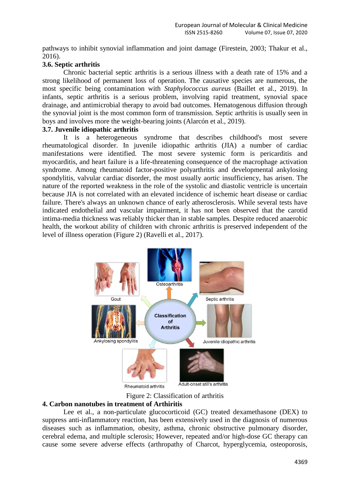pathways to inhibit synovial inflammation and joint damage (Firestein, 2003; Thakur et al., 2016).

## **3.6. Septic arthritis**

Chronic bacterial septic arthritis is a serious illness with a death rate of 15% and a strong likelihood of permanent loss of operation. The causative species are numerous, the most specific being contamination with *Staphylococcus aureus* (Baillet et al., 2019). In infants, septic arthritis is a serious problem, involving rapid treatment, synovial space drainage, and antimicrobial therapy to avoid bad outcomes. Hematogenous diffusion through the synovial joint is the most common form of transmission. Septic arthritis is usually seen in boys and involves more the weight-bearing joints (Alarcón et al., 2019).

## **3.7. Juvenile idiopathic arthritis**

It is a heterogeneous syndrome that describes childhood's most severe rheumatological disorder. In juvenile idiopathic arthritis (JIA) a number of cardiac manifestations were identified. The most severe systemic form is pericarditis and myocarditis, and heart failure is a life-threatening consequence of the macrophage activation syndrome. Among rheumatoid factor-positive polyarthritis and developmental ankylosing spondylitis, valvular cardiac disorder, the most usually aortic insufficiency, has arisen. The nature of the reported weakness in the role of the systolic and diastolic ventricle is uncertain because JIA is not correlated with an elevated incidence of ischemic heart disease or cardiac failure. There's always an unknown chance of early atherosclerosis. While several tests have indicated endothelial and vascular impairment, it has not been observed that the carotid intima-media thickness was reliably thicker than in stable samples. Despite reduced anaerobic health, the workout ability of children with chronic arthritis is preserved independent of the level of illness operation (Figure 2) (Ravelli et al., 2017).



Figure 2: Classification of arthritis

# **4. Carbon nanotubes in treatment of Arthiritis**

Lee et al., a non-particulate glucocorticoid (GC) treated dexamethasone (DEX) to suppress anti-inflammatory reaction, has been extensively used in the diagnosis of numerous diseases such as inflammation, obesity, asthma, chronic obstructive pulmonary disorder, cerebral edema, and multiple sclerosis; However, repeated and/or high-dose GC therapy can cause some severe adverse effects (arthropathy of Charcot, hyperglycemia, osteoporosis,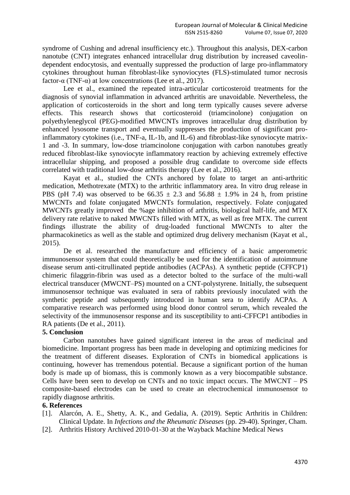syndrome of Cushing and adrenal insufficiency etc.). Throughout this analysis, DEX-carbon nanotube (CNT) integrates enhanced intracellular drug distribution by increased caveolindependent endocytosis, and eventually suppressed the production of large pro-inflammatory cytokines throughout human fibroblast-like synoviocytes (FLS)-stimulated tumor necrosis factor- $\alpha$  (TNF- $\alpha$ ) at low concentrations (Lee et al., 2017).

Lee et al., examined the repeated intra-articular corticosteroid treatments for the diagnosis of synovial inflammation in advanced arthritis are unavoidable. Nevertheless, the application of corticosteroids in the short and long term typically causes severe adverse effects. This research shows that corticosteroid (triamcinolone) conjugation on polyethyleneglycol (PEG)-modified MWCNTs improves intracellular drug distribution by enhanced lysosome transport and eventually suppresses the production of significant proinflammatory cytokines (i.e., TNF-a, IL-1b, and IL-6) and fibroblast-like synoviocyte matrix-1 and -3. In summary, low-dose triamcinolone conjugation with carbon nanotubes greatly reduced fibroblast-like synoviocyte inflammatory reaction by achieving extremely effective intracellular shipping, and proposed a possible drug candidate to overcome side effects correlated with traditional low-dose arthritis therapy (Lee et al., 2016).

Kayat et al., studied the CNTs anchored by folate to target an anti-arthritic medication, Methotrexate (MTX) to the arthritic inflammatory area. In vitro drug release in PBS (pH 7.4) was observed to be  $66.35 \pm 2.3$  and  $56.88 \pm 1.9\%$  in 24 h, from pristine MWCNTs and folate conjugated MWCNTs formulation, respectively. Folate conjugated MWCNTs greatly improved the %age inhibition of arthritis, biological half-life, and MTX delivery rate relative to naked MWCNTs filled with MTX, as well as free MTX. The current findings illustrate the ability of drug-loaded functional MWCNTs to alter the pharmacokinetics as well as the stable and optimized drug delivery mechanism (Kayat et al., 2015).

De et al. researched the manufacture and efficiency of a basic amperometric immunosensor system that could theoretically be used for the identification of autoimmune disease serum anti-citrullinated peptide antibodies (ACPAs). A synthetic peptide (CFFCP1) chimeric filaggrin-fibrin was used as a detector bolted to the surface of the multi-wall electrical transducer (MWCNT–PS) mounted on a CNT-polystyrene. Initially, the subsequent immunosensor technique was evaluated in sera of rabbits previously inoculated with the synthetic peptide and subsequently introduced in human sera to identify ACPAs. A comparative research was performed using blood donor control serum, which revealed the selectivity of the immunosensor response and its susceptibility to anti-CFFCP1 antibodies in RA patients (De et al., 2011).

## **5. Conclusion**

Carbon nanotubes have gained significant interest in the areas of medicinal and biomedicine. Important progress has been made in developing and optimizing medicines for the treatment of different diseases. Exploration of CNTs in biomedical applications is continuing, however has tremendous potential. Because a significant portion of the human body is made up of biomass, this is commonly known as a very biocompatible substance. Cells have been seen to develop on CNTs and no toxic impact occurs. The MWCNT – PS composite-based electrodes can be used to create an electrochemical immunosensor to rapidly diagnose arthritis.

## **6. References**

- [1]. Alarcón, A. E., Shetty, A. K., and Gedalia, A. (2019). Septic Arthritis in Children: Clinical Update. In *Infections and the Rheumatic Diseases* (pp. 29-40). Springer, Cham.
- [2]. Arthritis History Archived 2010-01-30 at the Wayback Machine Medical News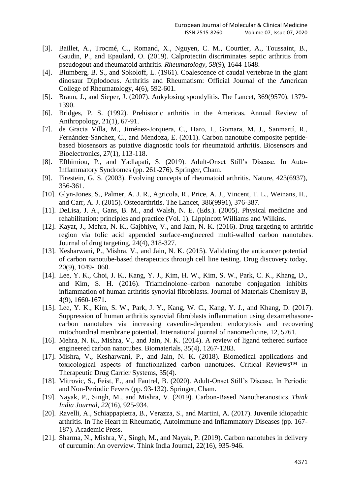- [3]. Baillet, A., Trocmé, C., Romand, X., Nguyen, C. M., Courtier, A., Toussaint, B., Gaudin, P., and Epaulard, O. (2019). Calprotectin discriminates septic arthritis from pseudogout and rheumatoid arthritis. *Rheumatology*, *58*(9), 1644-1648.
- [4]. Blumberg, B. S., and Sokoloff, L. (1961). Coalescence of caudal vertebrae in the giant dinosaur Diplodocus. Arthritis and Rheumatism: Official Journal of the American College of Rheumatology, 4(6), 592-601.
- [5]. Braun, J., and Sieper, J. (2007). Ankylosing spondylitis. The Lancet, 369(9570), 1379- 1390.
- [6]. Bridges, P. S. (1992). Prehistoric arthritis in the Americas. Annual Review of Anthropology, 21(1), 67-91.
- [7]. de Gracia Villa, M., Jiménez-Jorquera, C., Haro, I., Gomara, M. J., Sanmartí, R., Fernández-Sánchez, C., and Mendoza, E. (2011). Carbon nanotube composite peptidebased biosensors as putative diagnostic tools for rheumatoid arthritis. Biosensors and Bioelectronics, 27(1), 113-118.
- [8]. Efthimiou, P., and Yadlapati, S. (2019). Adult-Onset Still's Disease. In Auto-Inflammatory Syndromes (pp. 261-276). Springer, Cham.
- [9]. Firestein, G. S. (2003). Evolving concepts of rheumatoid arthritis. Nature, 423(6937), 356-361.
- [10]. Glyn-Jones, S., Palmer, A. J. R., Agricola, R., Price, A. J., Vincent, T. L., Weinans, H., and Carr, A. J. (2015). Osteoarthritis. The Lancet, 386(9991), 376-387.
- [11]. DeLisa, J. A., Gans, B. M., and Walsh, N. E. (Eds.). (2005). Physical medicine and rehabilitation: principles and practice (Vol. 1). Lippincott Williams and Wilkins.
- [12]. Kayat, J., Mehra, N. K., Gajbhiye, V., and Jain, N. K. (2016). Drug targeting to arthritic region via folic acid appended surface-engineered multi-walled carbon nanotubes. Journal of drug targeting, 24(4), 318-327.
- [13]. Kesharwani, P., Mishra, V., and Jain, N. K. (2015). Validating the anticancer potential of carbon nanotube-based therapeutics through cell line testing. Drug discovery today, 20(9), 1049-1060.
- [14]. Lee, Y. K., Choi, J. K., Kang, Y. J., Kim, H. W., Kim, S. W., Park, C. K., Khang, D., and Kim, S. H. (2016). Triamcinolone–carbon nanotube conjugation inhibits inflammation of human arthritis synovial fibroblasts. Journal of Materials Chemistry B, 4(9), 1660-1671.
- [15]. Lee, Y. K., Kim, S. W., Park, J. Y., Kang, W. C., Kang, Y. J., and Khang, D. (2017). Suppression of human arthritis synovial fibroblasts inflammation using dexamethasonecarbon nanotubes via increasing caveolin-dependent endocytosis and recovering mitochondrial membrane potential. International journal of nanomedicine, 12, 5761.
- [16]. Mehra, N. K., Mishra, V., and Jain, N. K. (2014). A review of ligand tethered surface engineered carbon nanotubes. Biomaterials, 35(4), 1267-1283.
- [17]. Mishra, V., Kesharwani, P., and Jain, N. K. (2018). Biomedical applications and toxicological aspects of functionalized carbon nanotubes. Critical Reviews™ in Therapeutic Drug Carrier Systems, 35(4).
- [18]. Mitrovic, S., Feist, E., and Fautrel, B. (2020). Adult-Onset Still's Disease. In Periodic and Non-Periodic Fevers (pp. 93-132). Springer, Cham.
- [19]. Nayak, P., Singh, M., and Mishra, V. (2019). Carbon-Based Nanotheranostics. *Think India Journal*, *22*(16), 925-934.
- [20]. Ravelli, A., Schiappapietra, B., Verazza, S., and Martini, A. (2017). Juvenile idiopathic arthritis. In The Heart in Rheumatic, Autoimmune and Inflammatory Diseases (pp. 167- 187). Academic Press.
- [21]. Sharma, N., Mishra, V., Singh, M., and Nayak, P. (2019). Carbon nanotubes in delivery of curcumin: An overview. Think India Journal, 22(16), 935-946.